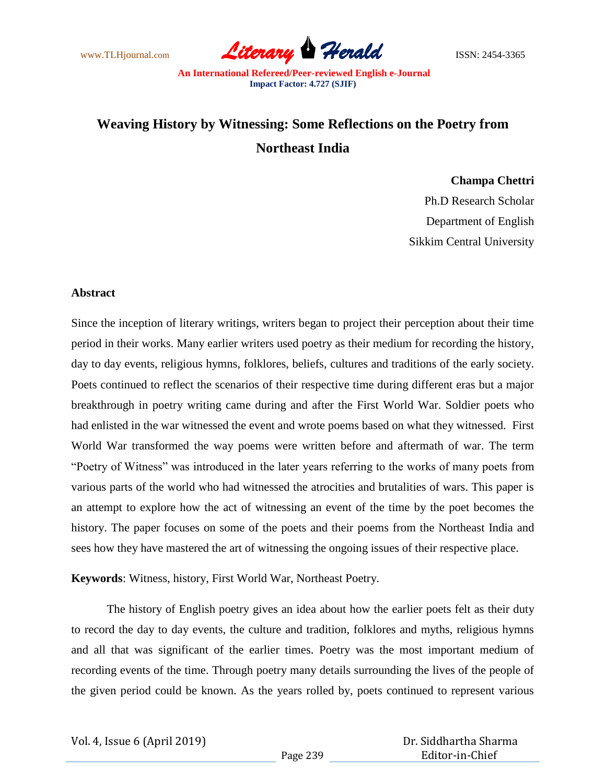www.TLHjournal.com **Literary Herald** ISSN: 2454-3365

# **Weaving History by Witnessing: Some Reflections on the Poetry from Northeast India**

### **Champa Chettri**

Ph.D Research Scholar Department of English Sikkim Central University

#### **Abstract**

Since the inception of literary writings, writers began to project their perception about their time period in their works. Many earlier writers used poetry as their medium for recording the history, day to day events, religious hymns, folklores, beliefs, cultures and traditions of the early society. Poets continued to reflect the scenarios of their respective time during different eras but a major breakthrough in poetry writing came during and after the First World War. Soldier poets who had enlisted in the war witnessed the event and wrote poems based on what they witnessed. First World War transformed the way poems were written before and aftermath of war. The term "Poetry of Witness" was introduced in the later years referring to the works of many poets from various parts of the world who had witnessed the atrocities and brutalities of wars. This paper is an attempt to explore how the act of witnessing an event of the time by the poet becomes the history. The paper focuses on some of the poets and their poems from the Northeast India and sees how they have mastered the art of witnessing the ongoing issues of their respective place.

**Keywords**: Witness, history, First World War, Northeast Poetry.

The history of English poetry gives an idea about how the earlier poets felt as their duty to record the day to day events, the culture and tradition, folklores and myths, religious hymns and all that was significant of the earlier times. Poetry was the most important medium of recording events of the time. Through poetry many details surrounding the lives of the people of the given period could be known. As the years rolled by, poets continued to represent various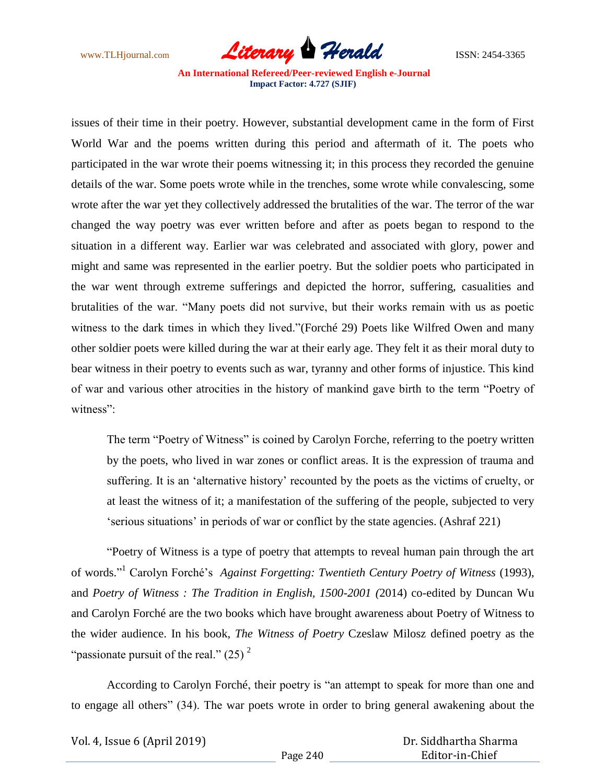

issues of their time in their poetry. However, substantial development came in the form of First World War and the poems written during this period and aftermath of it. The poets who participated in the war wrote their poems witnessing it; in this process they recorded the genuine details of the war. Some poets wrote while in the trenches, some wrote while convalescing, some wrote after the war yet they collectively addressed the brutalities of the war. The terror of the war changed the way poetry was ever written before and after as poets began to respond to the situation in a different way. Earlier war was celebrated and associated with glory, power and might and same was represented in the earlier poetry. But the soldier poets who participated in the war went through extreme sufferings and depicted the horror, suffering, casualities and brutalities of the war. "Many poets did not survive, but their works remain with us as poetic witness to the dark times in which they lived."(Forché 29) Poets like Wilfred Owen and many other soldier poets were killed during the war at their early age. They felt it as their moral duty to bear witness in their poetry to events such as war, tyranny and other forms of injustice. This kind of war and various other atrocities in the history of mankind gave birth to the term "Poetry of witness":

The term "Poetry of Witness" is coined by Carolyn Forche, referring to the poetry written by the poets, who lived in war zones or conflict areas. It is the expression of trauma and suffering. It is an 'alternative history' recounted by the poets as the victims of cruelty, or at least the witness of it; a manifestation of the suffering of the people, subjected to very "serious situations" in periods of war or conflict by the state agencies. (Ashraf 221)

"Poetry of Witness is a type of poetry that attempts to reveal human pain through the art of words." <sup>1</sup> Carolyn Forché"s *Against Forgetting: Twentieth Century Poetry of Witness* (1993), and *Poetry of Witness : The Tradition in English, 1500-2001 (*2014) co*-*edited by Duncan Wu and Carolyn Forché are the two books which have brought awareness about Poetry of Witness to the wider audience. In his book, *The Witness of Poetry* Czeslaw Milosz defined poetry as the "passionate pursuit of the real."  $(25)^2$ 

According to Carolyn Forché, their poetry is "an attempt to speak for more than one and to engage all others" (34). The war poets wrote in order to bring general awakening about the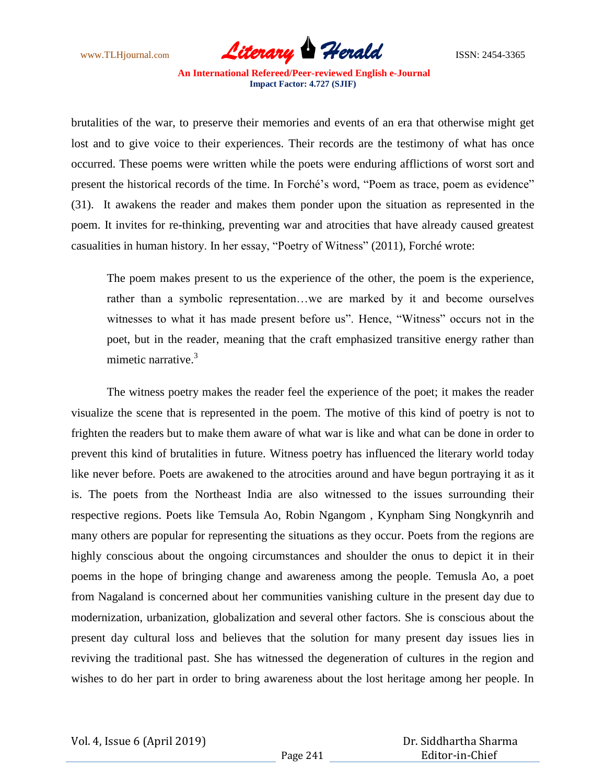

brutalities of the war, to preserve their memories and events of an era that otherwise might get lost and to give voice to their experiences. Their records are the testimony of what has once occurred. These poems were written while the poets were enduring afflictions of worst sort and present the historical records of the time. In Forché's word, "Poem as trace, poem as evidence" (31). It awakens the reader and makes them ponder upon the situation as represented in the poem. It invites for re-thinking, preventing war and atrocities that have already caused greatest casualities in human history. In her essay, "Poetry of Witness" (2011), Forché wrote:

The poem makes present to us the experience of the other, the poem is the experience, rather than a symbolic representation…we are marked by it and become ourselves witnesses to what it has made present before us". Hence, "Witness" occurs not in the poet, but in the reader, meaning that the craft emphasized transitive energy rather than mimetic narrative.<sup>3</sup>

The witness poetry makes the reader feel the experience of the poet; it makes the reader visualize the scene that is represented in the poem. The motive of this kind of poetry is not to frighten the readers but to make them aware of what war is like and what can be done in order to prevent this kind of brutalities in future. Witness poetry has influenced the literary world today like never before. Poets are awakened to the atrocities around and have begun portraying it as it is. The poets from the Northeast India are also witnessed to the issues surrounding their respective regions. Poets like Temsula Ao, Robin Ngangom , Kynpham Sing Nongkynrih and many others are popular for representing the situations as they occur. Poets from the regions are highly conscious about the ongoing circumstances and shoulder the onus to depict it in their poems in the hope of bringing change and awareness among the people. Temusla Ao, a poet from Nagaland is concerned about her communities vanishing culture in the present day due to modernization, urbanization, globalization and several other factors. She is conscious about the present day cultural loss and believes that the solution for many present day issues lies in reviving the traditional past. She has witnessed the degeneration of cultures in the region and wishes to do her part in order to bring awareness about the lost heritage among her people. In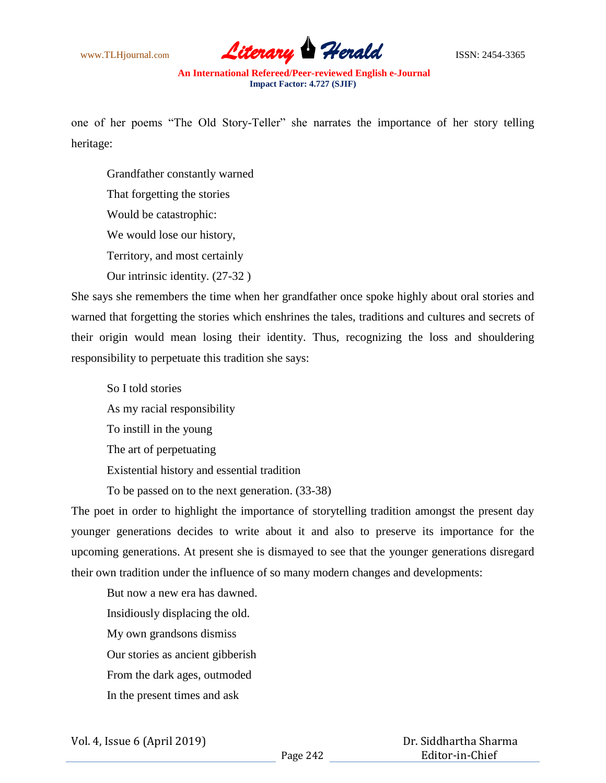

one of her poems "The Old Story-Teller" she narrates the importance of her story telling heritage:

Grandfather constantly warned That forgetting the stories Would be catastrophic: We would lose our history, Territory, and most certainly Our intrinsic identity. (27-32 )

She says she remembers the time when her grandfather once spoke highly about oral stories and warned that forgetting the stories which enshrines the tales, traditions and cultures and secrets of their origin would mean losing their identity. Thus, recognizing the loss and shouldering responsibility to perpetuate this tradition she says:

So I told stories As my racial responsibility To instill in the young The art of perpetuating Existential history and essential tradition To be passed on to the next generation. (33-38)

The poet in order to highlight the importance of storytelling tradition amongst the present day younger generations decides to write about it and also to preserve its importance for the upcoming generations. At present she is dismayed to see that the younger generations disregard their own tradition under the influence of so many modern changes and developments:

But now a new era has dawned. Insidiously displacing the old. My own grandsons dismiss Our stories as ancient gibberish From the dark ages, outmoded In the present times and ask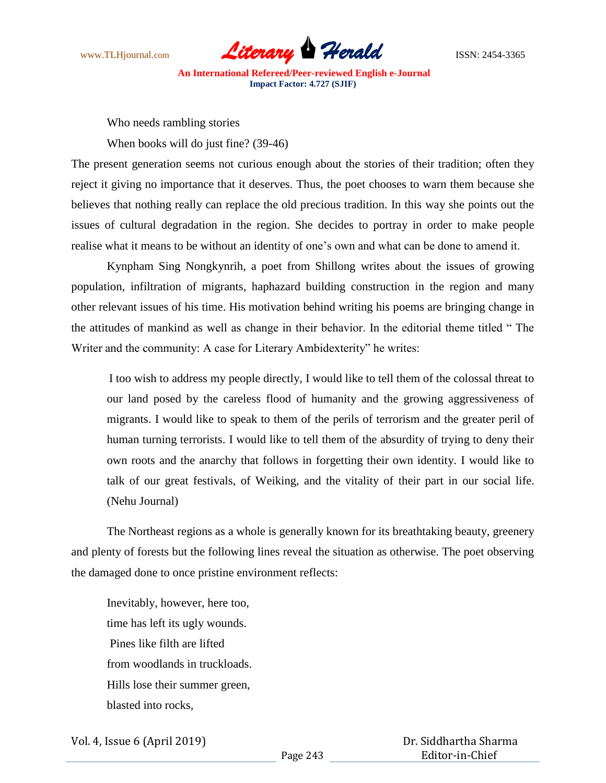

Who needs rambling stories

When books will do just fine? (39-46)

The present generation seems not curious enough about the stories of their tradition; often they reject it giving no importance that it deserves. Thus, the poet chooses to warn them because she believes that nothing really can replace the old precious tradition. In this way she points out the issues of cultural degradation in the region. She decides to portray in order to make people realise what it means to be without an identity of one"s own and what can be done to amend it.

Kynpham Sing Nongkynrih, a poet from Shillong writes about the issues of growing population, infiltration of migrants, haphazard building construction in the region and many other relevant issues of his time. His motivation behind writing his poems are bringing change in the attitudes of mankind as well as change in their behavior. In the editorial theme titled " The Writer and the community: A case for Literary Ambidexterity" he writes:

I too wish to address my people directly, I would like to tell them of the colossal threat to our land posed by the careless flood of humanity and the growing aggressiveness of migrants. I would like to speak to them of the perils of terrorism and the greater peril of human turning terrorists. I would like to tell them of the absurdity of trying to deny their own roots and the anarchy that follows in forgetting their own identity. I would like to talk of our great festivals, of Weiking, and the vitality of their part in our social life. (Nehu Journal)

The Northeast regions as a whole is generally known for its breathtaking beauty, greenery and plenty of forests but the following lines reveal the situation as otherwise. The poet observing the damaged done to once pristine environment reflects:

Inevitably, however, here too, time has left its ugly wounds. Pines like filth are lifted from woodlands in truckloads. Hills lose their summer green, blasted into rocks,

Vol. 4, Issue 6 (April 2019)

 Dr. Siddhartha Sharma Editor-in-Chief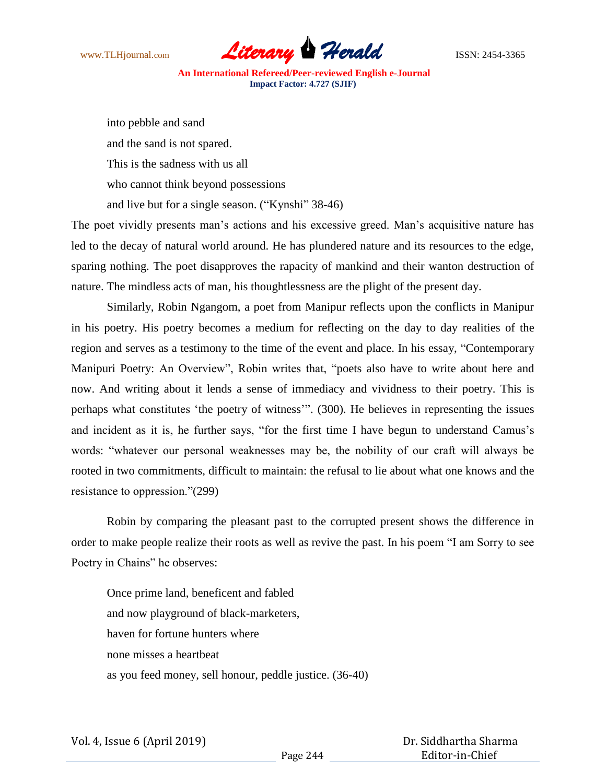

into pebble and sand and the sand is not spared. This is the sadness with us all who cannot think beyond possessions and live but for a single season. ("Kynshi" 38-46)

The poet vividly presents man's actions and his excessive greed. Man's acquisitive nature has led to the decay of natural world around. He has plundered nature and its resources to the edge, sparing nothing. The poet disapproves the rapacity of mankind and their wanton destruction of nature. The mindless acts of man, his thoughtlessness are the plight of the present day.

Similarly, Robin Ngangom, a poet from Manipur reflects upon the conflicts in Manipur in his poetry. His poetry becomes a medium for reflecting on the day to day realities of the region and serves as a testimony to the time of the event and place. In his essay, "Contemporary Manipuri Poetry: An Overview", Robin writes that, "poets also have to write about here and now. And writing about it lends a sense of immediacy and vividness to their poetry. This is perhaps what constitutes "the poetry of witness"". (300). He believes in representing the issues and incident as it is, he further says, "for the first time I have begun to understand Camus's words: "whatever our personal weaknesses may be, the nobility of our craft will always be rooted in two commitments, difficult to maintain: the refusal to lie about what one knows and the resistance to oppression."(299)

Robin by comparing the pleasant past to the corrupted present shows the difference in order to make people realize their roots as well as revive the past. In his poem "I am Sorry to see Poetry in Chains" he observes:

Once prime land, beneficent and fabled and now playground of black-marketers, haven for fortune hunters where none misses a heartbeat as you feed money, sell honour, peddle justice. (36-40)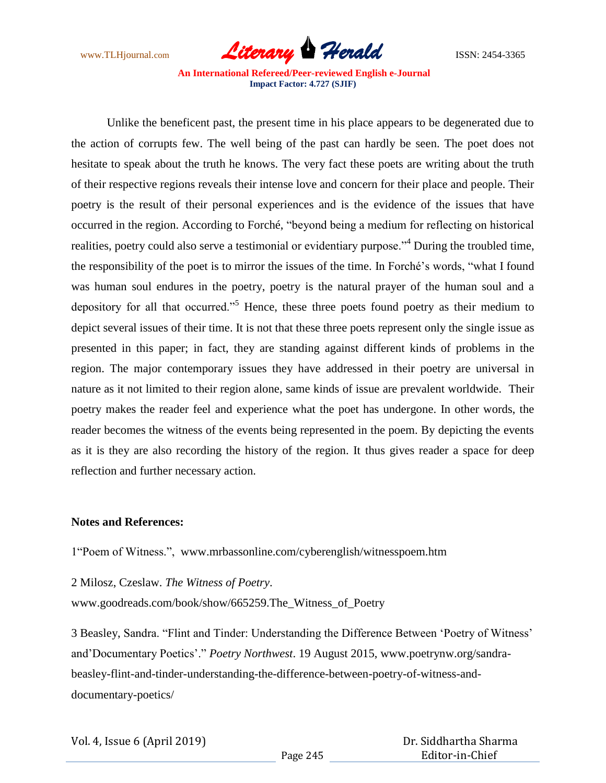

Unlike the beneficent past, the present time in his place appears to be degenerated due to the action of corrupts few. The well being of the past can hardly be seen. The poet does not hesitate to speak about the truth he knows. The very fact these poets are writing about the truth of their respective regions reveals their intense love and concern for their place and people. Their poetry is the result of their personal experiences and is the evidence of the issues that have occurred in the region. According to Forché, "beyond being a medium for reflecting on historical realities, poetry could also serve a testimonial or evidentiary purpose."<sup>4</sup> During the troubled time, the responsibility of the poet is to mirror the issues of the time. In Forché"s words, "what I found was human soul endures in the poetry, poetry is the natural prayer of the human soul and a depository for all that occurred."<sup>5</sup> Hence, these three poets found poetry as their medium to depict several issues of their time. It is not that these three poets represent only the single issue as presented in this paper; in fact, they are standing against different kinds of problems in the region. The major contemporary issues they have addressed in their poetry are universal in nature as it not limited to their region alone, same kinds of issue are prevalent worldwide. Their poetry makes the reader feel and experience what the poet has undergone. In other words, the reader becomes the witness of the events being represented in the poem. By depicting the events as it is they are also recording the history of the region. It thus gives reader a space for deep reflection and further necessary action.

#### **Notes and References:**

1"Poem of Witness.", www.mrbassonline.com/cyberenglish/witnesspoem.htm

2 Milosz, Czeslaw. *The Witness of Poetry*.

www.goodreads.com/book/show/665259.The\_Witness\_of\_Poetry

3 Beasley, Sandra. "Flint and Tinder: Understanding the Difference Between "Poetry of Witness" and"Documentary Poetics"." *Poetry Northwest*. 19 August 2015, www.poetrynw.org/sandrabeasley-flint-and-tinder-understanding-the-difference-between-poetry-of-witness-anddocumentary-poetics/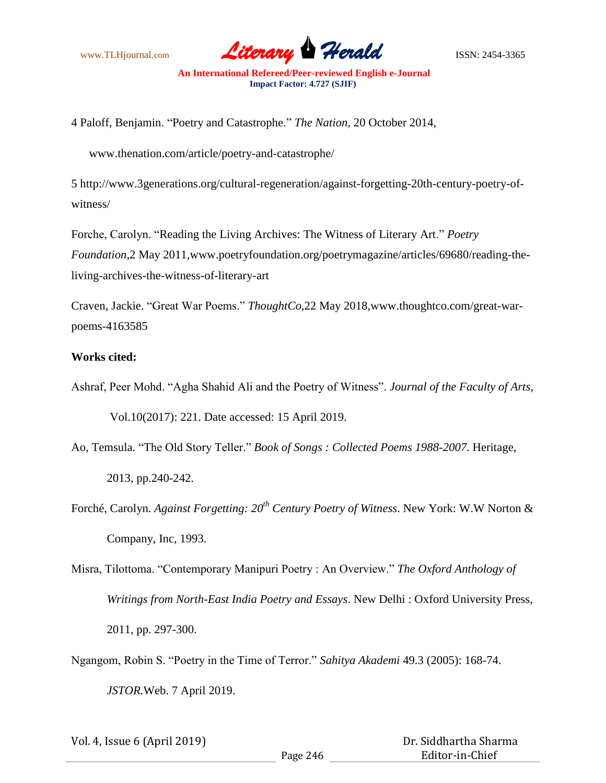

4 Paloff, Benjamin. "Poetry and Catastrophe." *The Nation,* 20 October 2014,

www.thenation.com/article/poetry-and-catastrophe/

5 http://www.3generations.org/cultural-regeneration/against-forgetting-20th-century-poetry-ofwitness/

Forche, Carolyn. "Reading the Living Archives: The Witness of Literary Art." *Poetry Foundation,*2 May 2011*,*www.poetryfoundation.org/poetrymagazine/articles/69680/reading-theliving-archives-the-witness-of-literary-art

Craven, Jackie. "Great War Poems." *ThoughtCo,*22 May 2018*,*www.thoughtco.com/great-warpoems-4163585

## **Works cited:**

Ashraf, Peer Mohd. "Agha Shahid Ali and the Poetry of Witness". *Journal of the Faculty of Arts*,

Vol.10(2017): 221. Date accessed: 15 April 2019.

- Ao, Temsula. "The Old Story Teller." *Book of Songs : Collected Poems 1988-2007.* Heritage, 2013, pp.240-242.
- Forché, Carolyn. *Against Forgetting: 20th Century Poetry of Witness*. New York: W.W Norton & Company, Inc, 1993.

Ngangom, Robin S. "Poetry in the Time of Terror." *Sahitya Akademi* 49.3 (2005): 168-74.

*JSTOR.*Web. 7 April 2019.

| Vol. 4, Issue 6 (April 2019) |          | Dr. Siddhartha Sharma |
|------------------------------|----------|-----------------------|
|                              | Page 246 | Editor-in-Chief       |

Misra, Tilottoma. "Contemporary Manipuri Poetry : An Overview." *The Oxford Anthology of Writings from North-East India Poetry and Essays*. New Delhi : Oxford University Press, 2011, pp. 297-300.